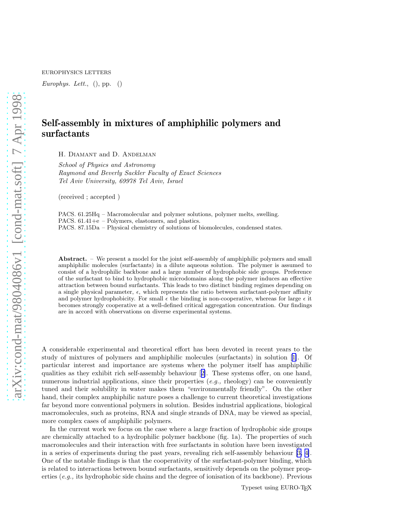EUROPHYSICS LETTERS

Europhys. Lett.,  $()$ , pp.  $()$ 

## Self-assembly in mixtures of amphiphilic polymers and surfactants

H. Diamant and D. Andelman

School of Physics and Astronomy Raymond and Beverly Sackler Faculty of Exact Sciences Tel Aviv University, 69978 Tel Aviv, Israel

(received ; accepted )

PACS. 61.25Hq – Macromolecular and polymer solutions, polymer melts, swelling. PACS. 61.41+e – Polymers, elastomers, and plastics. PACS. 87.15Da – Physical chemistry of solutions of biomolecules, condensed states.

Abstract. – We present a model for the joint self-assembly of amphiphilic polymers and small amphiphilic molecules (surfactants) in a dilute aqueous solution. The polymer is assumed to consist of a hydrophilic backbone and a large number of hydrophobic side groups. Preference of the surfactant to bind to hydrophobic microdomains along the polymer induces an effective attraction between bound surfactants. This leads to two distinct binding regimes depending on a single physical parameter,  $\epsilon$ , which represents the ratio between surfactant-polymer affinity and polymer hydrophobicity. For small  $\epsilon$  the binding is non-cooperative, whereas for large  $\epsilon$  it becomes strongly cooperative at a well-defined critical aggregation concentration. Our findings are in accord with observations on diverse experimental systems.

A considerable experimental and theoretical effort has been devoted in recent years to the study of mixtures of polymers and amphiphilic molecules (surfactants) in solution[[1\]](#page-5-0). Of particular interest and importance are systems where the polymer itself has amphiphilic qualities as they exhibit rich self-assembly behaviour[[2\]](#page-5-0). These systems offer, on one hand, numerous industrial applications, since their properties  $(e.g., \text{ rheology})$  can be conveniently tuned and their solubility in water makes them "environmentally friendly". On the other hand, their complex amphiphilic nature poses a challenge to current theoretical investigations far beyond more conventional polymers in solution. Besides industrial applications, biological macromolecules, such as proteins, RNA and single strands of DNA, may be viewed as special, more complex cases of amphiphilic polymers.

In the current work we focus on the case where a large fraction of hydrophobic side groups are chemically attached to a hydrophilic polymer backbone (fig. 1a). The properties of such macromolecules and their interaction with free surfactants in solution have been investigated in a series of experiments during the past years, revealing rich self-assembly behaviour [\[3, 4\]](#page-5-0). One of the notable findings is that the cooperativity of the surfactant-polymer binding, which is related to interactions between bound surfactants, sensitively depends on the polymer properties  $(e.g.,$  its hydrophobic side chains and the degree of ionisation of its backbone). Previous

Typeset using EURO-TEX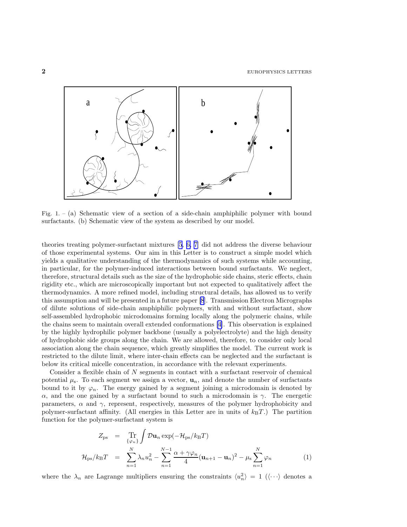<span id="page-1-0"></span>

Fig. 1. – (a) Schematic view of a section of a side-chain amphiphilic polymer with bound surfactants. (b) Schematic view of the system as described by our model.

theories treating polymer-surfactant mixtures [\[5](#page-5-0), [6, 7\]](#page-5-0) did not address the diverse behaviour of those experimental systems. Our aim in this Letter is to construct a simple model which yields a qualitative understanding of the thermodynamics of such systems while accounting, in particular, for the polymer-induced interactions between bound surfactants. We neglect, therefore, structural details such as the size of the hydrophobic side chains, steric effects, chain rigidity etc., which are microscopically important but not expected to qualitatively affect the thermodynamics. A more refined model, including structural details, has allowed us to verify this assumption and will be presented in a future paper [\[8](#page-5-0)]. Transmission Electron Micrographs of dilute solutions of side-chain amphiphilic polymers, with and without surfactant, show self-assembled hydrophobic microdomains forming locally along the polymeric chains, while the chains seem to maintain overall extended conformations [\[4](#page-5-0)]. This observation is explained by the highly hydrophilic polymer backbone (usually a polyelectrolyte) and the high density of hydrophobic side groups along the chain. We are allowed, therefore, to consider only local association along the chain sequence, which greatly simplifies the model. The current work is restricted to the dilute limit, where inter-chain effects can be neglected and the surfactant is below its critical micelle concentration, in accordance with the relevant experiments.

Consider a flexible chain of N segments in contact with a surfactant reservoir of chemical potential  $\mu_s$ . To each segment we assign a vector,  $\mathbf{u}_n$ , and denote the number of surfactants bound to it by  $\varphi_n$ . The energy gained by a segment joining a microdomain is denoted by α, and the one gained by a surfactant bound to such a microdomain is  $γ$ . The energetic parameters,  $\alpha$  and  $\gamma$ , represent, respectively, measures of the polymer hydrophobicity and polymer-surfactant affinity. (All energies in this Letter are in units of  $k_BT$ .) The partition function for the polymer-surfactant system is

$$
Z_{\text{ps}} = \underset{n=1}{\text{Tr}} \int \mathcal{D} \mathbf{u}_{n} \exp(-\mathcal{H}_{\text{ps}}/k_{\text{B}}T)
$$
  

$$
\mathcal{H}_{\text{ps}}/k_{\text{B}}T = \underset{n=1}{\overset{N}{\sum}} \lambda_{n} u_{n}^{2} - \underset{n=1}{\overset{N-1}{\sum}} \frac{\alpha + \gamma \varphi_{n}}{4} (\mathbf{u}_{n+1} - \mathbf{u}_{n})^{2} - \mu_{\text{s}} \underset{n=1}{\overset{N}{\sum}} \varphi_{n}
$$
(1)

where the  $\lambda_n$  are Lagrange multipliers ensuring the constraints  $\langle u_n^2 \rangle = 1$  ( $\langle \cdots \rangle$  denotes a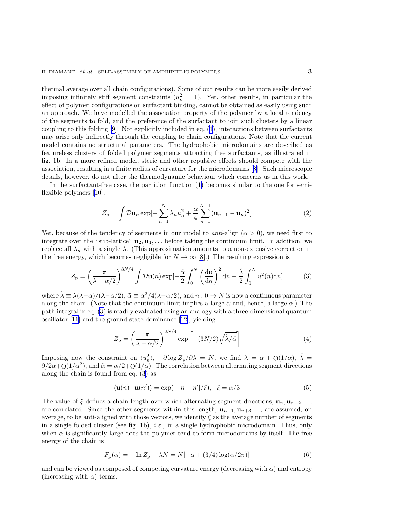<span id="page-2-0"></span>thermal average over all chain configurations). Some of our results can be more easily derived imposing infinitely stiff segment constraints  $(u_n^2 = 1)$ . Yet, other results, in particular the effect of polymer configurations on surfactant binding, cannot be obtained as easily using such an approach. We have modelled the association property of the polymer by a local tendency of the segments to fold, and the preference of the surfactant to join such clusters by a linear coupling to this folding [\[9](#page-5-0)]. Not explicitly included in eq. [\(1](#page-1-0)), interactions between surfactants may arise only indirectly through the coupling to chain configurations. Note that the current model contains no structural parameters. The hydrophobic microdomains are described as featureless clusters of folded polymer segments attracting free surfactants, as illustrated in fig. 1b. In a more refined model, steric and other repulsive effects should compete with the association, resulting in a finite radius of curvature for the microdomains[[8\]](#page-5-0). Such microscopic details, however, do not alter the thermodynamic behaviour which concerns us in this work.

In the surfactant-free case, the partition function([1\)](#page-1-0) becomes similar to the one for semiflexible polymers [\[10](#page-5-0)],

$$
Z_{\rm p} = \int \mathcal{D} \mathbf{u}_n \exp[-\sum_{n=1}^{N} \lambda_n u_n^2 + \frac{\alpha}{4} \sum_{n=1}^{N-1} (\mathbf{u}_{n+1} - \mathbf{u}_n)^2]
$$
(2)

Yet, because of the tendency of segments in our model to *anti*-align  $(\alpha > 0)$ , we need first to integrate over the "sub-lattice"  $\mathbf{u}_2, \mathbf{u}_4, \ldots$  before taking the continuum limit. In addition, we replace all  $\lambda_n$  with a single  $\lambda$ . (This approximation amounts to a non-extensive correction in the free energy, which becomes negligible for  $N \to \infty$  [\[8](#page-5-0)].) The resulting expression is

$$
Z_{\rm p} = \left(\frac{\pi}{\lambda - \alpha/2}\right)^{3N/4} \int \mathcal{D}u(n) \exp\left[-\frac{\tilde{\alpha}}{2} \int_0^N \left(\frac{\mathrm{d}u}{\mathrm{d}n}\right)^2 \mathrm{d}n - \frac{\tilde{\lambda}}{2} \int_0^N u^2(n) \mathrm{d}n\right] \tag{3}
$$

where  $\tilde{\lambda} \equiv \lambda(\lambda-\alpha)/(\lambda-\alpha/2)$ ,  $\tilde{\alpha} \equiv \alpha^2/4(\lambda-\alpha/2)$ , and  $n:0 \to N$  is now a continuous parameter along the chain. (Note that the continuum limit implies a large  $\tilde{\alpha}$  and, hence, a large  $\alpha$ .) The path integral in eq. (3) is readily evaluated using an analogy with a three-dimensional quantum oscillator [\[11](#page-5-0)] and the ground-state dominance[[12\]](#page-5-0), yielding

$$
Z_{\rm p} = \left(\frac{\pi}{\lambda - \alpha/2}\right)^{3N/4} \exp\left[-(3N/2)\sqrt{\tilde{\lambda}/\tilde{\alpha}}\right]
$$
 (4)

Imposing now the constraint on  $\langle u_n^2 \rangle$ ,  $-\partial \log Z_p/\partial \lambda = N$ , we find  $\lambda = \alpha + O(1/\alpha)$ ,  $\tilde{\lambda} =$  $9/2\alpha + O(1/\alpha^2)$ , and  $\tilde{\alpha} = \alpha/2 + O(1/\alpha)$ . The correlation between alternating segment directions along the chain is found from eq. (3) as

$$
\langle \mathbf{u}(n) \cdot \mathbf{u}(n') \rangle = \exp(-|n - n'|/\xi), \quad \xi = \alpha/3 \tag{5}
$$

The value of  $\xi$  defines a chain length over which alternating segment directions,  $\mathbf{u}_n, \mathbf{u}_{n+2} \dots$ are correlated. Since the other segments within this length,  $\mathbf{u}_{n+1}, \mathbf{u}_{n+3}, \ldots$ , are assumed, on average, to be anti-aligned with those vectors, we identify  $\xi$  as the average number of segments in a single folded cluster (see fig. 1b), *i.e.*, in a single hydrophobic microdomain. Thus, only when  $\alpha$  is significantly large does the polymer tend to form microdomains by itself. The free energy of the chain is

$$
F_{\mathbf{p}}(\alpha) = -\ln Z_{\mathbf{p}} - \lambda N = N[-\alpha + (3/4)\log(\alpha/2\pi)]
$$
\n(6)

and can be viewed as composed of competing curvature energy (decreasing with  $\alpha$ ) and entropy (increasing with  $\alpha$ ) terms.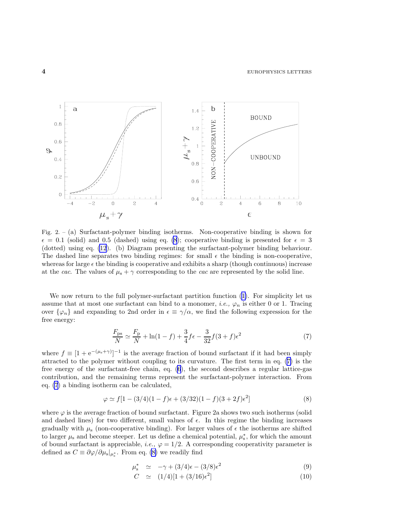<span id="page-3-0"></span>

Fig. 2. – (a) Surfactant-polymer binding isotherms. Non-cooperative binding is shown for  $\epsilon = 0.1$  (solid) and 0.5 (dashed) using eq. (8); cooperative binding is presented for  $\epsilon = 3$ (dotted) using eq. [\(12](#page-4-0)). (b) Diagram presenting the surfactant-polymer binding behaviour. The dashed line separates two binding regimes: for small  $\epsilon$  the binding is non-cooperative, whereas for large  $\epsilon$  the binding is cooperative and exhibits a sharp (though continuous) increase at the cac. The values of  $\mu_s + \gamma$  corresponding to the cac are represented by the solid line.

Wenow return to the full polymer-surfactant partition function  $(1)$  $(1)$ . For simplicity let us assume that at most one surfactant can bind to a monomer, *i.e.*,  $\varphi_n$  is either 0 or 1. Tracing over  $\{\varphi_n\}$  and expanding to 2nd order in  $\epsilon \equiv \gamma/\alpha$ , we find the following expression for the free energy:

$$
\frac{F_{\rm ps}}{N} \simeq \frac{F_{\rm p}}{N} + \ln(1 - f) + \frac{3}{4}f\epsilon - \frac{3}{32}f(3 + f)\epsilon^2
$$
\n(7)

where  $f \equiv [1 + e^{-(\mu_s + \gamma)}]^{-1}$  is the average fraction of bound surfactant if it had been simply attracted to the polymer without coupling to its curvature. The first term in eq. (7) is the free energy of the surfactant-free chain, eq. [\(6](#page-2-0)), the second describes a regular lattice-gas contribution, and the remaining terms represent the surfactant-polymer interaction. From eq. (7) a binding isotherm can be calculated,

$$
\varphi \simeq f[1 - (3/4)(1 - f)\epsilon + (3/32)(1 - f)(3 + 2f)\epsilon^2]
$$
\n(8)

where  $\varphi$  is the average fraction of bound surfactant. Figure 2a shows two such isotherms (solid and dashed lines) for two different, small values of  $\epsilon$ . In this regime the binding increases gradually with  $\mu_s$  (non-cooperative binding). For larger values of  $\epsilon$  the isotherms are shifted to larger  $\mu_s$  and become steeper. Let us define a chemical potential,  $\mu_s^*$ , for which the amount of bound surfactant is appreciable, *i.e.*,  $\varphi = 1/2$ . A corresponding cooperativity parameter is defined as  $C \equiv \partial \varphi / \partial \mu_{\rm s} |_{\mu_{\rm s}^*}$ . From eq. (8) we readily find

$$
\mu_s^* \simeq -\gamma + (3/4)\epsilon - (3/8)\epsilon^2 \tag{9}
$$

$$
C \simeq (1/4)[1 + (3/16)\epsilon^2] \tag{10}
$$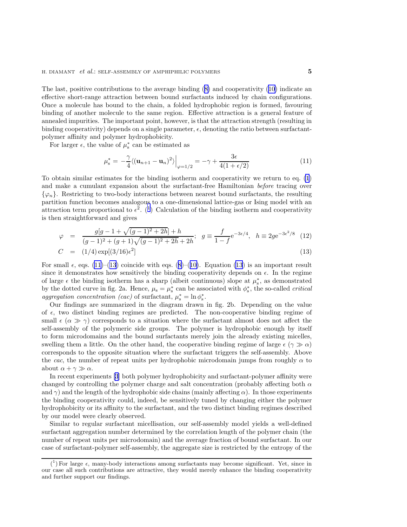<span id="page-4-0"></span>The last, positive contributions to the average binding([8\)](#page-3-0) and cooperativity([10\)](#page-3-0) indicate an effective short-range attraction between bound surfactants induced by chain configurations. Once a molecule has bound to the chain, a folded hydrophobic region is formed, favouring binding of another molecule to the same region. Effective attraction is a general feature of annealed impurities. The important point, however, is that the attraction strength (resulting in binding cooperativity) depends on a single parameter,  $\epsilon$ , denoting the ratio between surfactantpolymer affinity and polymer hydrophobicity.

For larger  $\epsilon$ , the value of  $\mu_s^*$  can be estimated as

$$
\mu_s^* = -\frac{\gamma}{4} \langle (\mathbf{u}_{n+1} - \mathbf{u}_n)^2 \rangle \Big|_{\varphi = 1/2} = -\gamma + \frac{3\epsilon}{4(1 + \epsilon/2)} \tag{11}
$$

To obtain similar estimates for the binding isotherm and cooperativity we return to eq. [\(1](#page-1-0)) and make a cumulant expansion about the surfactant-free Hamiltonian before tracing over  $\{\varphi_n\}$ . Restricting to two-body interactions between nearest bound surfactants, the resulting partition function becomes analogous to a one-dimensional lattice-gas or Ising model with an attraction term proportional to  $\epsilon^2$ . (<sup>1</sup>) Calculation of the binding isotherm and cooperativity is then straightforward and gives

$$
\varphi = \frac{g[g - 1 + \sqrt{(g - 1)^2 + 2h}]}{(g - 1)^2 + (g + 1)\sqrt{(g - 1)^2 + 2h} + 2h}; \quad g = \frac{f}{1 - f} e^{-3\epsilon/4}, \quad h = 2g e^{-3\epsilon^2/8} \tag{12}
$$

$$
C = (1/4) \exp[(3/16)\epsilon^2]
$$
\n(13)

Forsmall  $\epsilon$ , eqs. (11)–(13) coincide with eqs. ([8\)](#page-3-0)–([10\)](#page-3-0). Equation (13) is an important result since it demonstrates how sensitively the binding cooperativity depends on  $\epsilon$ . In the regime of large  $\epsilon$  the binding isotherm has a sharp (albeit continuous) slope at  $\mu_s^*$ , as demonstrated by the dotted curve in fig. 2a. Hence,  $\mu_s = \mu_s^*$  can be associated with  $\phi_s^*$ , the so-called *critical* aggregation concentration (cac) of surfactant,  $\mu_s^* = \ln \phi_s^*$ .

Our findings are summarized in the diagram drawn in fig. 2b. Depending on the value of  $\epsilon$ , two distinct binding regimes are predicted. The non-cooperative binding regime of small  $\epsilon$  ( $\alpha \gg \gamma$ ) corresponds to a situation where the surfactant almost does not affect the self-assembly of the polymeric side groups. The polymer is hydrophobic enough by itself to form microdomains and the bound surfactants merely join the already existing micelles, swelling them a little. On the other hand, the cooperative binding regime of large  $\epsilon (\gamma \gg \alpha)$ corresponds to the opposite situation where the surfactant triggers the self-assembly. Above the cac, the number of repeat units per hydrophobic microdomain jumps from roughly  $\alpha$  to about  $\alpha + \gamma \gg \alpha$ .

In recent experiments [\[3](#page-5-0)] both polymer hydrophobicity and surfactant-polymer affinity were changed by controlling the polymer charge and salt concentration (probably affecting both  $\alpha$ and  $\gamma$ ) and the length of the hydrophobic side chains (mainly affecting  $\alpha$ ). In those experiments the binding cooperativity could, indeed, be sensitively tuned by changing either the polymer hydrophobicity or its affinity to the surfactant, and the two distinct binding regimes described by our model were clearly observed.

Similar to regular surfactant micellisation, our self-assembly model yields a well-defined surfactant aggregation number determined by the correlation length of the polymer chain (the number of repeat units per microdomain) and the average fraction of bound surfactant. In our case of surfactant-polymer self-assembly, the aggregate size is restricted by the entropy of the

 $(1)$  For large  $\epsilon$ , many-body interactions among surfactants may become significant. Yet, since in our case all such contributions are attractive, they would merely enhance the binding cooperativity and further support our findings.